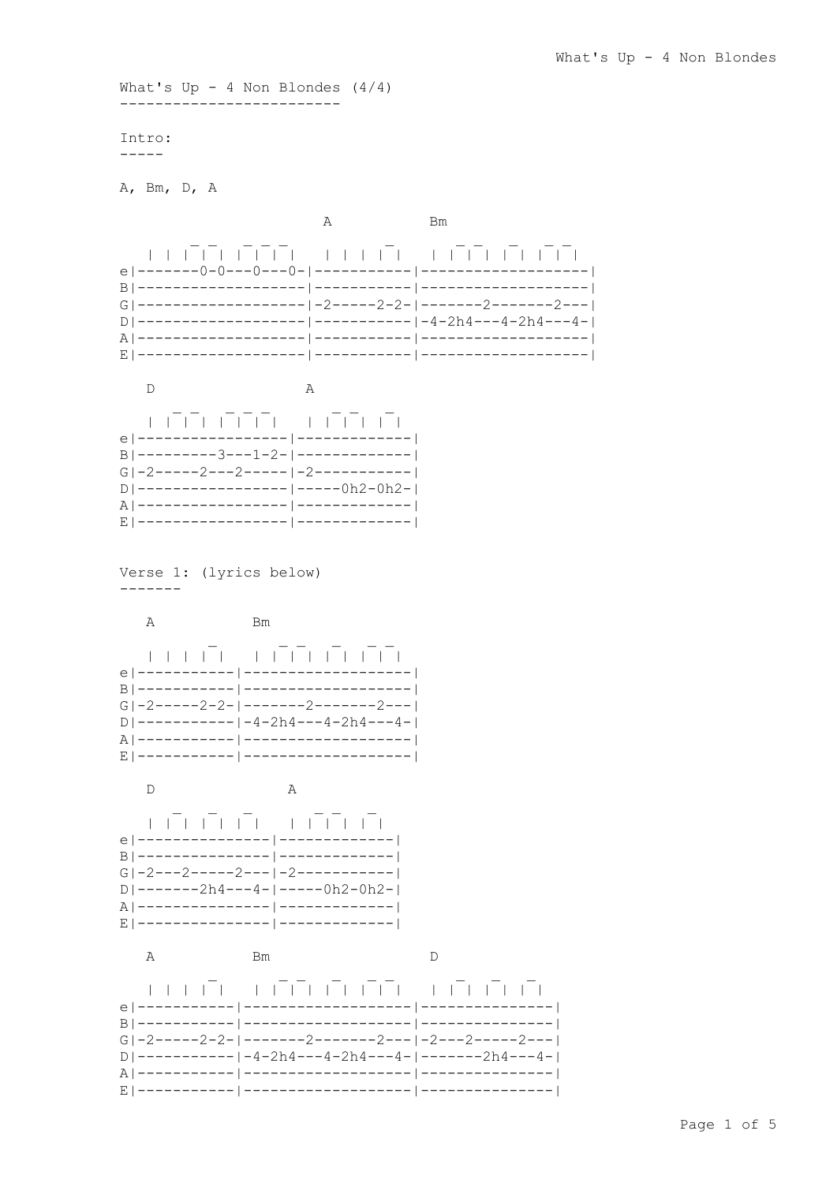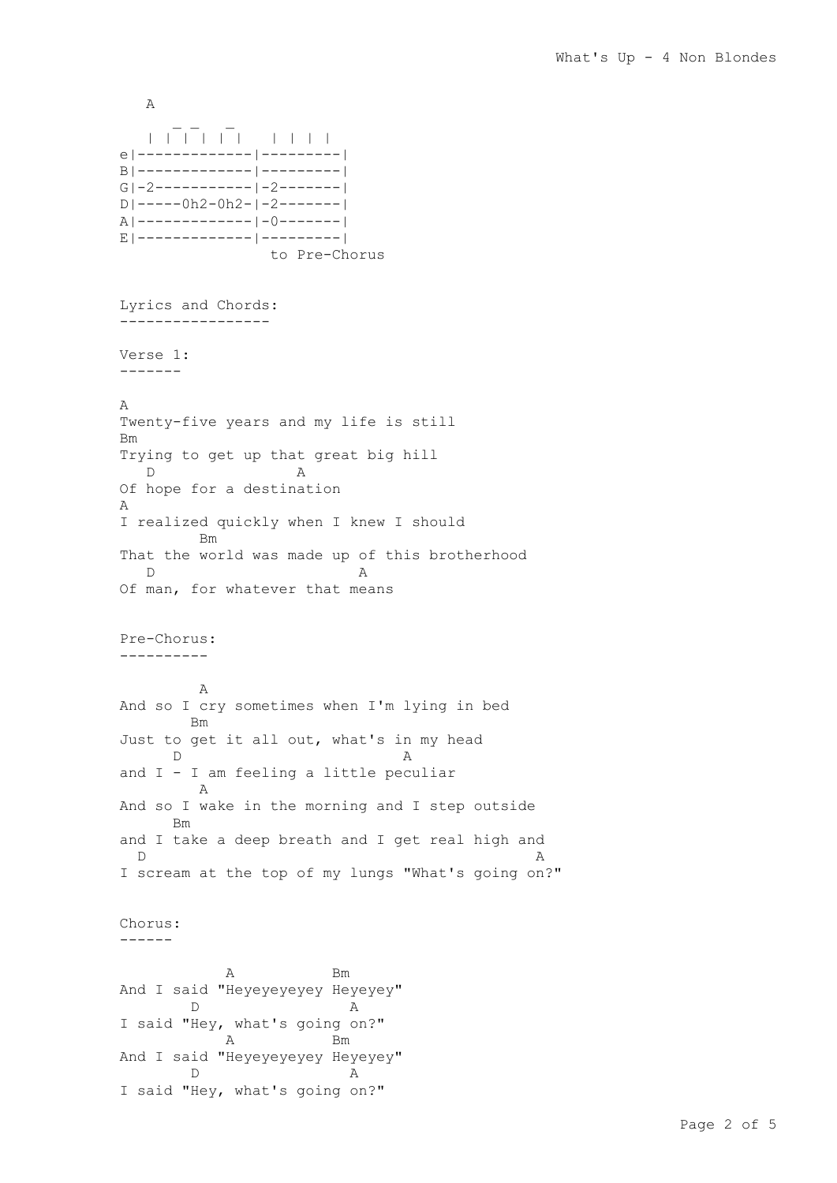A  $\_$   $\_$ | | | | | | | | | | e|-------------|---------| B|-------------|---------| G|-2-----------|-2-------| D|-----0h2-0h2-|-2-------| A|-------------|-0-------| E|-------------|---------| to Pre-Chorus Lyrics and Chords: ----------------- Verse 1: ------- A Twenty-five years and my life is still Bm Trying to get up that great big hill D A Of hope for a destination A I realized quickly when I knew I should Bm That the world was made up of this brotherhood D A Of man, for whatever that means Pre-Chorus: ---------- **A** And so I cry sometimes when I'm lying in bed Bm Just to get it all out, what's in my head D A and I - I am feeling a little peculiar A And so I wake in the morning and I step outside Bm and I take a deep breath and I get real high and D A I scream at the top of my lungs "What's going on?" Chorus: ------ A Bm And I said "Heyeyeyeyey Heyeyey" D A I said "Hey, what's going on?" A Bm And I said "Heyeyeyeyey Heyeyey" D A I said "Hey, what's going on?"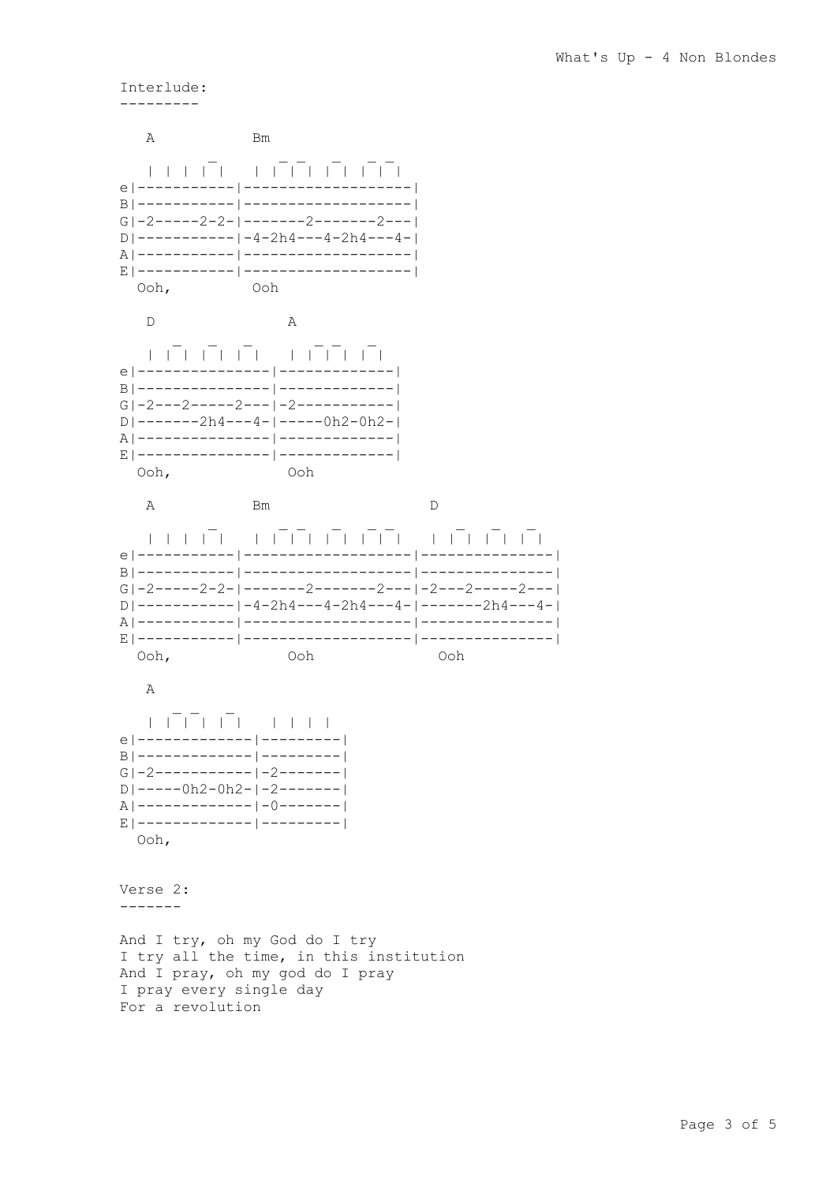## Interlude:

\_\_\_\_\_\_\_\_\_

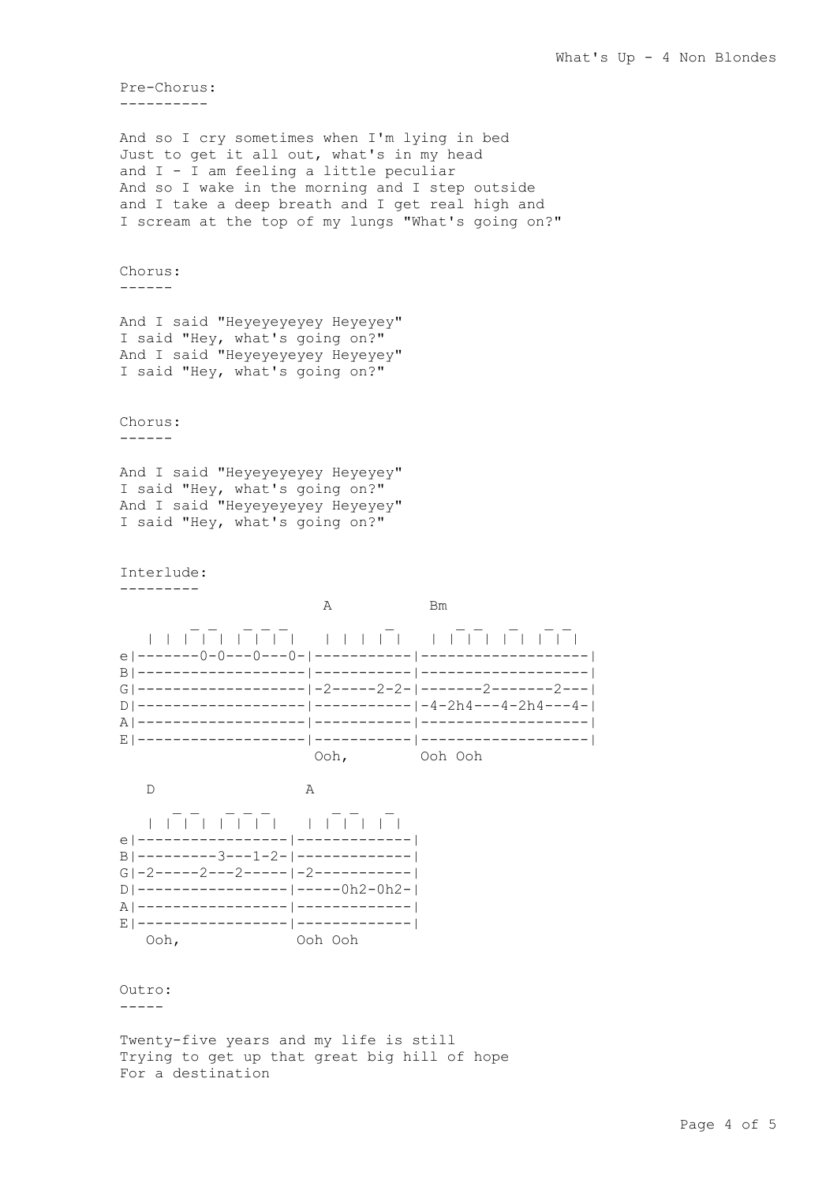Pre-Chorus: ----------

And so I cry sometimes when I'm lying in bed Just to get it all out, what's in my head and I - I am feeling a little peculiar And so I wake in the morning and I step outside and I take a deep breath and I get real high and I scream at the top of my lungs "What's going on?"

## Chorus:

------

And I said "Heyeyeyeyey Heyeyey" I said "Hey, what's going on?" And I said "Heyeyeyeyey Heyeyey" I said "Hey, what's going on?"

Chorus: ------

And I said "Heyeyeyeyey Heyeyey" I said "Hey, what's going on?" And I said "Heyeyeyeyey Heyeyey" I said "Hey, what's going on?"

Interlude: